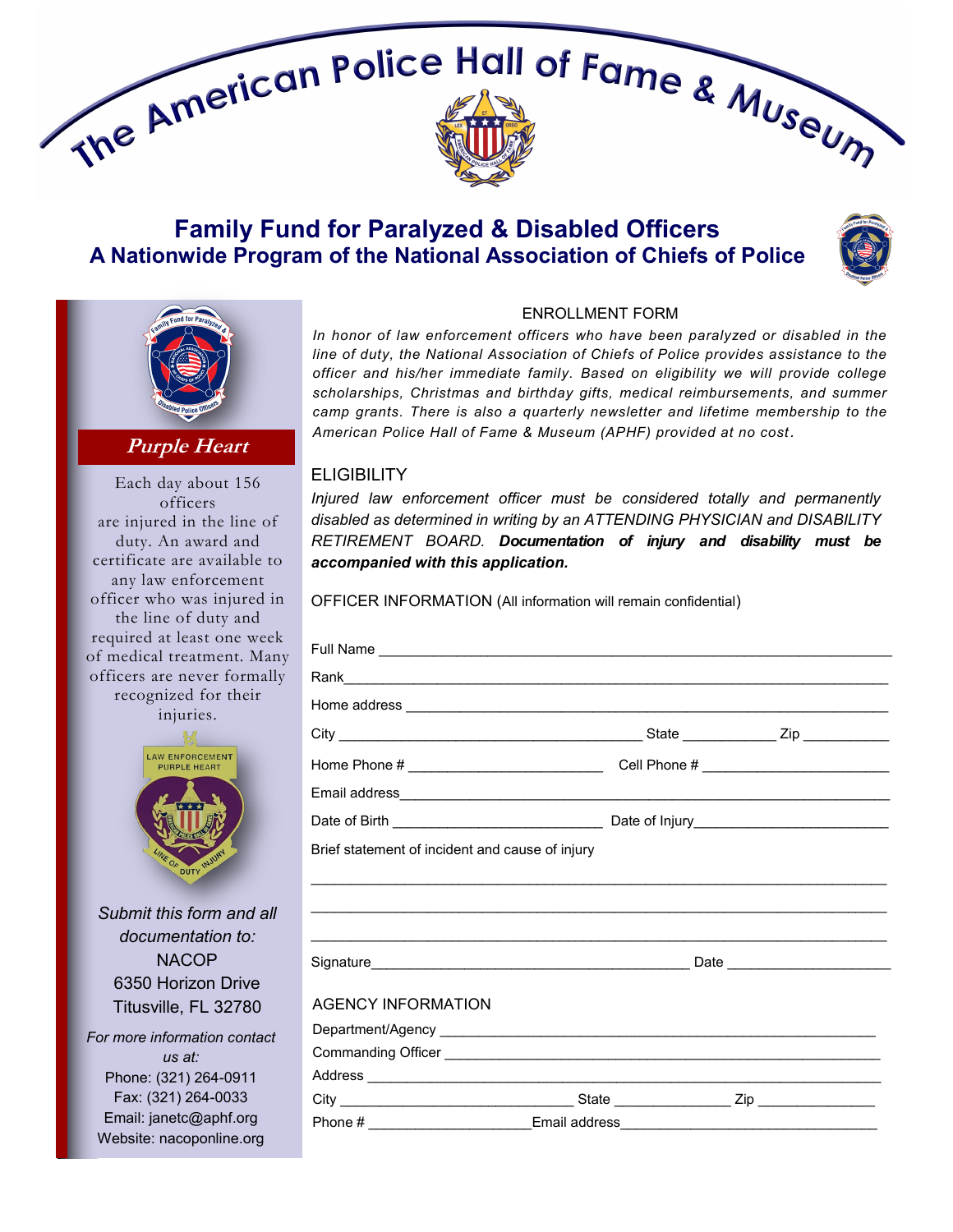

## **Family Fund for Paralyzed & Disabled Officers A Nationwide Program of the National Association of Chiefs of Police**





**Purple Heart**

Each day about 156 officers are injured in the line of duty. An award and certificate are available to any law enforcement officer who was injured in the line of duty and required at least one week of medical treatment. Many officers are never formally recognized for their injuries.



*Submit this form and all documentation to:* **NACOP** 6350 Horizon Drive Titusville, FL 32780 *For more information contact us at:* Phone: (321) 264-0911 Fax: (321) 264-0033

Email: janetc@aphf.org Website: nacoponline.org

## ENROLLMENT FORM

*In honor of law enforcement officers who have been paralyzed or disabled in the line of duty, the National Association of Chiefs of Police provides assistance to the officer and his/her immediate family. Based on eligibility we will provide college scholarships, Christmas and birthday gifts, medical reimbursements, and summer camp grants. There is also a quarterly newsletter and lifetime membership to the American Police Hall of Fame & Museum (APHF) provided at no cost.*

## **ELIGIBILITY**

*Injured law enforcement officer must be considered totally and permanently disabled as determined in writing by an ATTENDING PHYSICIAN and DISABILITY RETIREMENT BOARD. Documentation of injury and disability must be accompanied with this application.*

OFFICER INFORMATION (All information will remain confidential)

| Brief statement of incident and cause of injury                                   |  |  |
|-----------------------------------------------------------------------------------|--|--|
|                                                                                   |  |  |
|                                                                                   |  |  |
|                                                                                   |  |  |
|                                                                                   |  |  |
|                                                                                   |  |  |
| <b>AGENCY INFORMATION</b>                                                         |  |  |
|                                                                                   |  |  |
|                                                                                   |  |  |
|                                                                                   |  |  |
|                                                                                   |  |  |
| Phone # _____________________________Email address_______________________________ |  |  |
|                                                                                   |  |  |